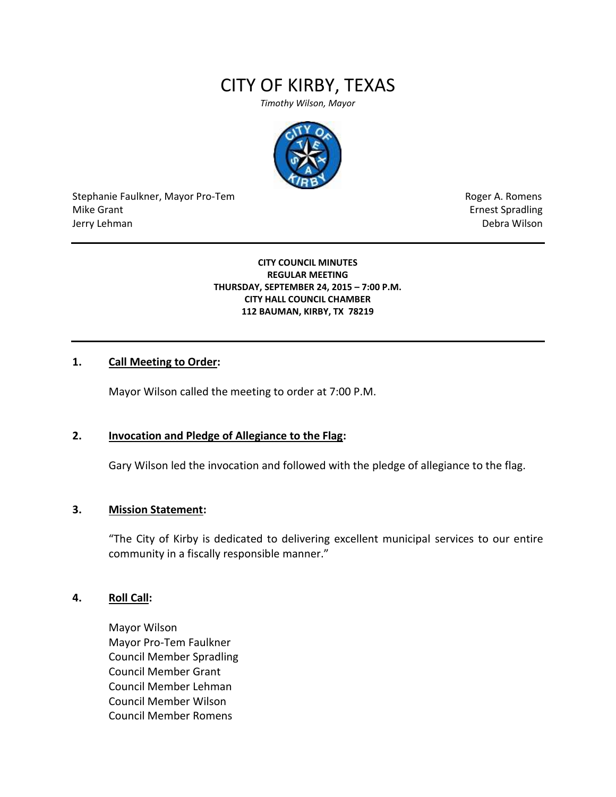# CITY OF KIRBY, TEXAS

*Timothy Wilson, Mayor*



Stephanie Faulkner, Mayor Pro-Tem **Roger A. Romens** Roger A. Romens Mike Grant **Example 2018** Mike Grant **Example 2018** Ernest Spradling Jerry Lehman Debra Wilson (2008) and the state of the state of the state of the state of the state of the state of the state of the state of the state of the state of the state of the state of the state of the state of the

#### **CITY COUNCIL MINUTES REGULAR MEETING THURSDAY, SEPTEMBER 24, 2015 – 7:00 P.M. CITY HALL COUNCIL CHAMBER 112 BAUMAN, KIRBY, TX 78219**

## **1. Call Meeting to Order:**

Mayor Wilson called the meeting to order at 7:00 P.M.

## **2. Invocation and Pledge of Allegiance to the Flag:**

Gary Wilson led the invocation and followed with the pledge of allegiance to the flag.

### **3. Mission Statement:**

"The City of Kirby is dedicated to delivering excellent municipal services to our entire community in a fiscally responsible manner."

#### **4. Roll Call:**

Mayor Wilson Mayor Pro-Tem Faulkner Council Member Spradling Council Member Grant Council Member Lehman Council Member Wilson Council Member Romens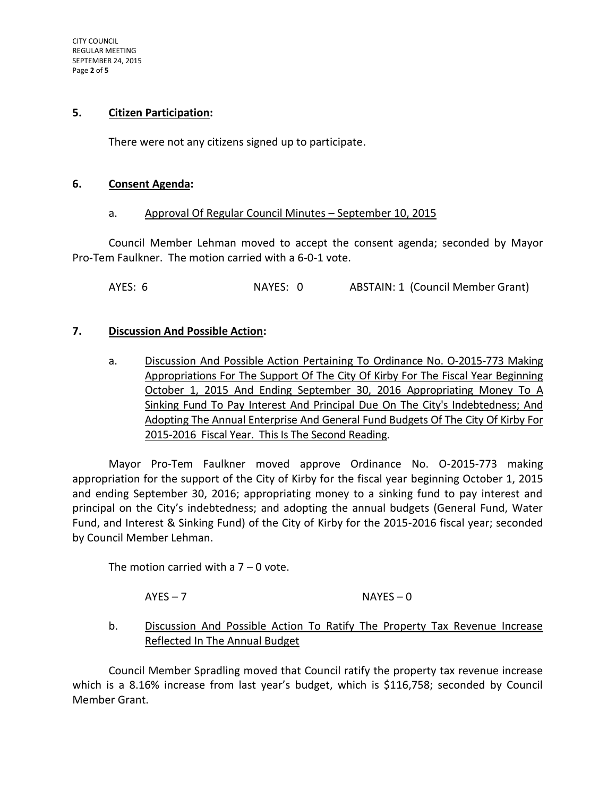#### **5. Citizen Participation:**

There were not any citizens signed up to participate.

#### **6. Consent Agenda:**

#### a. Approval Of Regular Council Minutes – September 10, 2015

Council Member Lehman moved to accept the consent agenda; seconded by Mayor Pro-Tem Faulkner. The motion carried with a 6-0-1 vote.

AYES: 6 NAYES: 0 ABSTAIN: 1 (Council Member Grant)

## **7. Discussion And Possible Action:**

a. Discussion And Possible Action Pertaining To Ordinance No. O-2015-773 Making Appropriations For The Support Of The City Of Kirby For The Fiscal Year Beginning October 1, 2015 And Ending September 30, 2016 Appropriating Money To A Sinking Fund To Pay Interest And Principal Due On The City's Indebtedness; And Adopting The Annual Enterprise And General Fund Budgets Of The City Of Kirby For 2015-2016 Fiscal Year. This Is The Second Reading.

Mayor Pro-Tem Faulkner moved approve Ordinance No. O-2015-773 making appropriation for the support of the City of Kirby for the fiscal year beginning October 1, 2015 and ending September 30, 2016; appropriating money to a sinking fund to pay interest and principal on the City's indebtedness; and adopting the annual budgets (General Fund, Water Fund, and Interest & Sinking Fund) of the City of Kirby for the 2015-2016 fiscal year; seconded by Council Member Lehman.

The motion carried with a  $7 - 0$  vote.

 $AYES - 7$  NAYES – 0

# b. Discussion And Possible Action To Ratify The Property Tax Revenue Increase Reflected In The Annual Budget

Council Member Spradling moved that Council ratify the property tax revenue increase which is a 8.16% increase from last year's budget, which is \$116,758; seconded by Council Member Grant.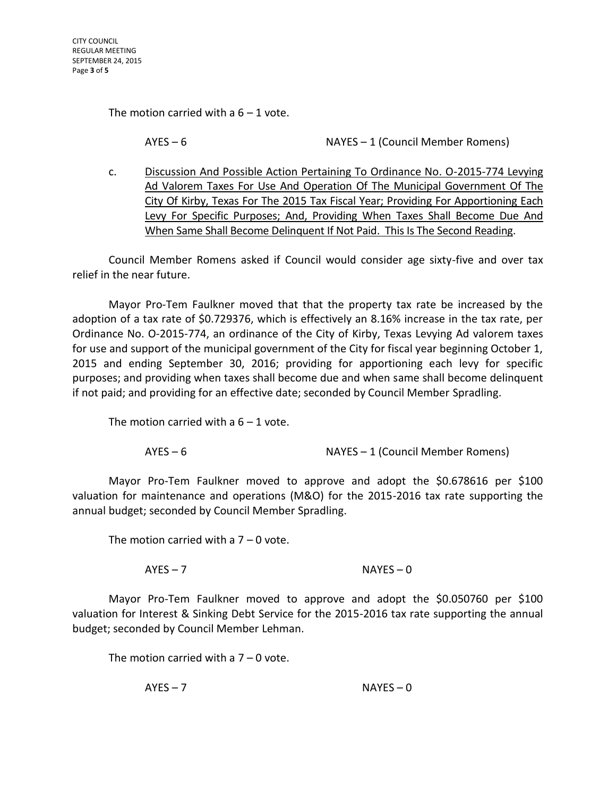The motion carried with a  $6 - 1$  vote.

AYES – 6 NAYES – 1 (Council Member Romens)

c. Discussion And Possible Action Pertaining To Ordinance No. O-2015-774 Levying Ad Valorem Taxes For Use And Operation Of The Municipal Government Of The City Of Kirby, Texas For The 2015 Tax Fiscal Year; Providing For Apportioning Each Levy For Specific Purposes; And, Providing When Taxes Shall Become Due And When Same Shall Become Delinquent If Not Paid. This Is The Second Reading.

Council Member Romens asked if Council would consider age sixty-five and over tax relief in the near future.

Mayor Pro-Tem Faulkner moved that that the property tax rate be increased by the adoption of a tax rate of \$0.729376, which is effectively an 8.16% increase in the tax rate, per Ordinance No. O-2015-774, an ordinance of the City of Kirby, Texas Levying Ad valorem taxes for use and support of the municipal government of the City for fiscal year beginning October 1, 2015 and ending September 30, 2016; providing for apportioning each levy for specific purposes; and providing when taxes shall become due and when same shall become delinquent if not paid; and providing for an effective date; seconded by Council Member Spradling.

The motion carried with a  $6 - 1$  vote.

AYES – 6 NAYES – 1 (Council Member Romens)

Mayor Pro-Tem Faulkner moved to approve and adopt the \$0.678616 per \$100 valuation for maintenance and operations (M&O) for the 2015-2016 tax rate supporting the annual budget; seconded by Council Member Spradling.

The motion carried with a  $7 - 0$  vote.

 $AYES - 7$  NAYES – 0

Mayor Pro-Tem Faulkner moved to approve and adopt the \$0.050760 per \$100 valuation for Interest & Sinking Debt Service for the 2015-2016 tax rate supporting the annual budget; seconded by Council Member Lehman.

The motion carried with a  $7 - 0$  vote.

AYES – 7 NAYES – 0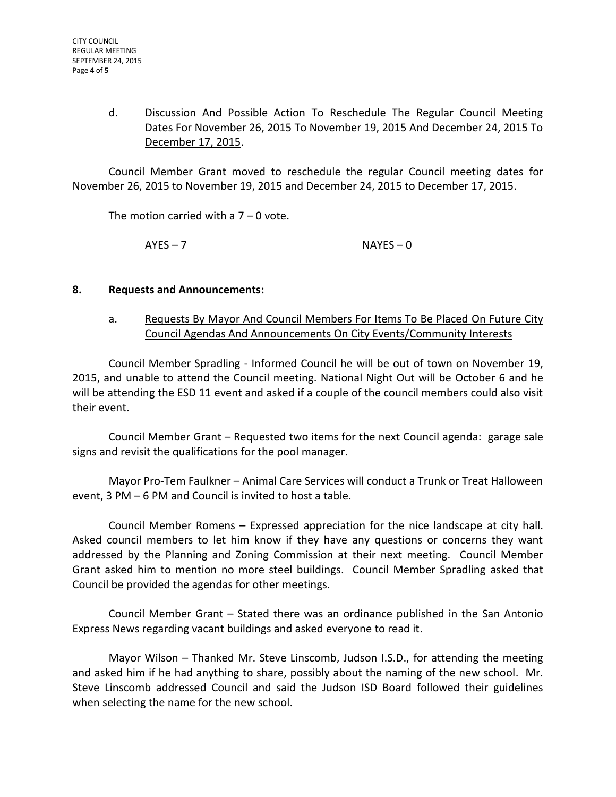# d. Discussion And Possible Action To Reschedule The Regular Council Meeting Dates For November 26, 2015 To November 19, 2015 And December 24, 2015 To December 17, 2015.

Council Member Grant moved to reschedule the regular Council meeting dates for November 26, 2015 to November 19, 2015 and December 24, 2015 to December 17, 2015.

The motion carried with a  $7 - 0$  vote.

 $AYES - 7$  NAYES – 0

# **8. Requests and Announcements:**

a. Requests By Mayor And Council Members For Items To Be Placed On Future City Council Agendas And Announcements On City Events/Community Interests

Council Member Spradling - Informed Council he will be out of town on November 19, 2015, and unable to attend the Council meeting. National Night Out will be October 6 and he will be attending the ESD 11 event and asked if a couple of the council members could also visit their event.

Council Member Grant – Requested two items for the next Council agenda: garage sale signs and revisit the qualifications for the pool manager.

Mayor Pro-Tem Faulkner – Animal Care Services will conduct a Trunk or Treat Halloween event, 3 PM – 6 PM and Council is invited to host a table.

Council Member Romens – Expressed appreciation for the nice landscape at city hall. Asked council members to let him know if they have any questions or concerns they want addressed by the Planning and Zoning Commission at their next meeting. Council Member Grant asked him to mention no more steel buildings. Council Member Spradling asked that Council be provided the agendas for other meetings.

Council Member Grant – Stated there was an ordinance published in the San Antonio Express News regarding vacant buildings and asked everyone to read it.

Mayor Wilson – Thanked Mr. Steve Linscomb, Judson I.S.D., for attending the meeting and asked him if he had anything to share, possibly about the naming of the new school. Mr. Steve Linscomb addressed Council and said the Judson ISD Board followed their guidelines when selecting the name for the new school.